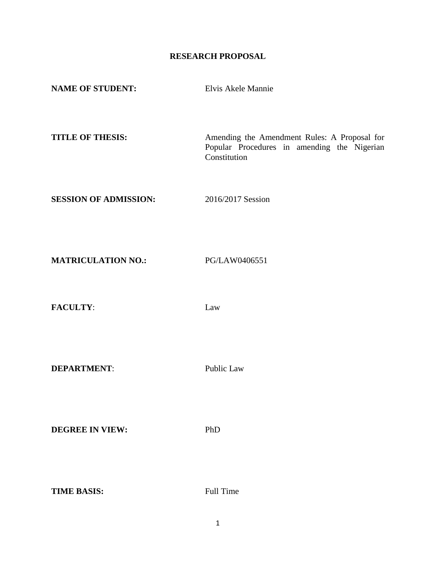# **RESEARCH PROPOSAL**

| <b>NAME OF STUDENT:</b>      | Elvis Akele Mannie                                                                                          |
|------------------------------|-------------------------------------------------------------------------------------------------------------|
| <b>TITLE OF THESIS:</b>      | Amending the Amendment Rules: A Proposal for<br>Popular Procedures in amending the Nigerian<br>Constitution |
| <b>SESSION OF ADMISSION:</b> | 2016/2017 Session                                                                                           |
| <b>MATRICULATION NO.:</b>    | PG/LAW0406551                                                                                               |
| <b>FACULTY:</b>              | Law                                                                                                         |

**DEPARTMENT:** Public Law

**DEGREE IN VIEW:** PhD

**TIME BASIS:** Full Time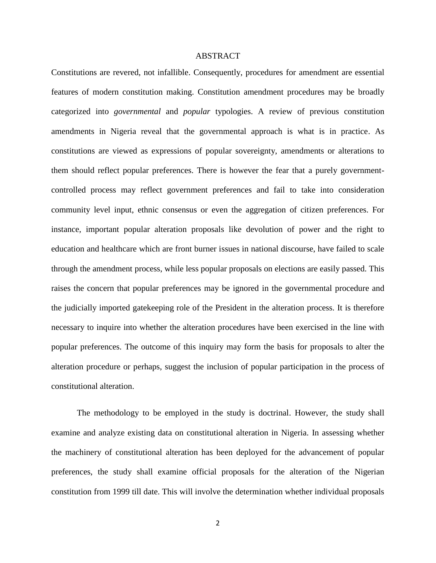#### ABSTRACT

Constitutions are revered, not infallible. Consequently, procedures for amendment are essential features of modern constitution making. Constitution amendment procedures may be broadly categorized into *governmental* and *popular* typologies. A review of previous constitution amendments in Nigeria reveal that the governmental approach is what is in practice. As constitutions are viewed as expressions of popular sovereignty, amendments or alterations to them should reflect popular preferences. There is however the fear that a purely governmentcontrolled process may reflect government preferences and fail to take into consideration community level input, ethnic consensus or even the aggregation of citizen preferences. For instance, important popular alteration proposals like devolution of power and the right to education and healthcare which are front burner issues in national discourse, have failed to scale through the amendment process, while less popular proposals on elections are easily passed. This raises the concern that popular preferences may be ignored in the governmental procedure and the judicially imported gatekeeping role of the President in the alteration process. It is therefore necessary to inquire into whether the alteration procedures have been exercised in the line with popular preferences. The outcome of this inquiry may form the basis for proposals to alter the alteration procedure or perhaps, suggest the inclusion of popular participation in the process of constitutional alteration.

The methodology to be employed in the study is doctrinal. However, the study shall examine and analyze existing data on constitutional alteration in Nigeria. In assessing whether the machinery of constitutional alteration has been deployed for the advancement of popular preferences, the study shall examine official proposals for the alteration of the Nigerian constitution from 1999 till date. This will involve the determination whether individual proposals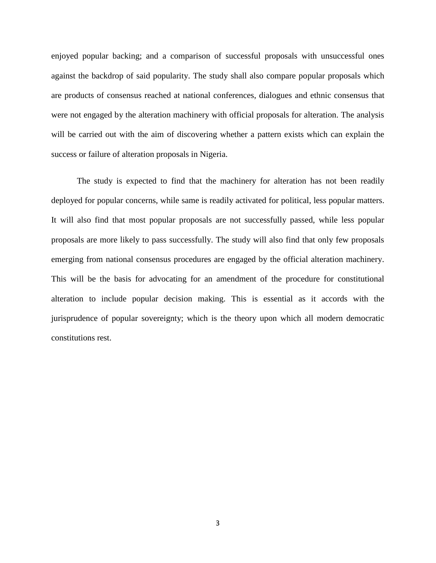enjoyed popular backing; and a comparison of successful proposals with unsuccessful ones against the backdrop of said popularity. The study shall also compare popular proposals which are products of consensus reached at national conferences, dialogues and ethnic consensus that were not engaged by the alteration machinery with official proposals for alteration. The analysis will be carried out with the aim of discovering whether a pattern exists which can explain the success or failure of alteration proposals in Nigeria.

The study is expected to find that the machinery for alteration has not been readily deployed for popular concerns, while same is readily activated for political, less popular matters. It will also find that most popular proposals are not successfully passed, while less popular proposals are more likely to pass successfully. The study will also find that only few proposals emerging from national consensus procedures are engaged by the official alteration machinery. This will be the basis for advocating for an amendment of the procedure for constitutional alteration to include popular decision making. This is essential as it accords with the jurisprudence of popular sovereignty; which is the theory upon which all modern democratic constitutions rest.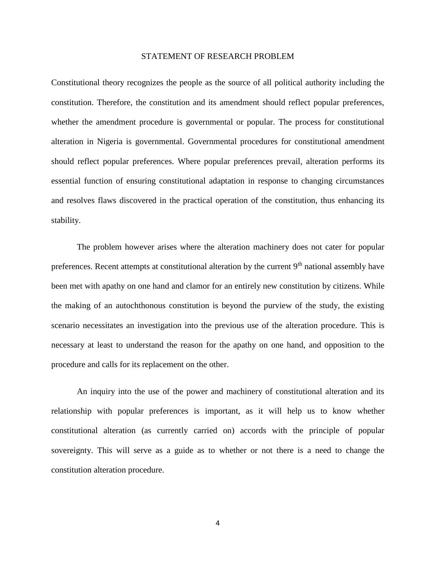#### STATEMENT OF RESEARCH PROBLEM

Constitutional theory recognizes the people as the source of all political authority including the constitution. Therefore, the constitution and its amendment should reflect popular preferences, whether the amendment procedure is governmental or popular. The process for constitutional alteration in Nigeria is governmental. Governmental procedures for constitutional amendment should reflect popular preferences. Where popular preferences prevail, alteration performs its essential function of ensuring constitutional adaptation in response to changing circumstances and resolves flaws discovered in the practical operation of the constitution, thus enhancing its stability.

The problem however arises where the alteration machinery does not cater for popular preferences. Recent attempts at constitutional alteration by the current 9<sup>th</sup> national assembly have been met with apathy on one hand and clamor for an entirely new constitution by citizens. While the making of an autochthonous constitution is beyond the purview of the study, the existing scenario necessitates an investigation into the previous use of the alteration procedure. This is necessary at least to understand the reason for the apathy on one hand, and opposition to the procedure and calls for its replacement on the other.

An inquiry into the use of the power and machinery of constitutional alteration and its relationship with popular preferences is important, as it will help us to know whether constitutional alteration (as currently carried on) accords with the principle of popular sovereignty. This will serve as a guide as to whether or not there is a need to change the constitution alteration procedure.

4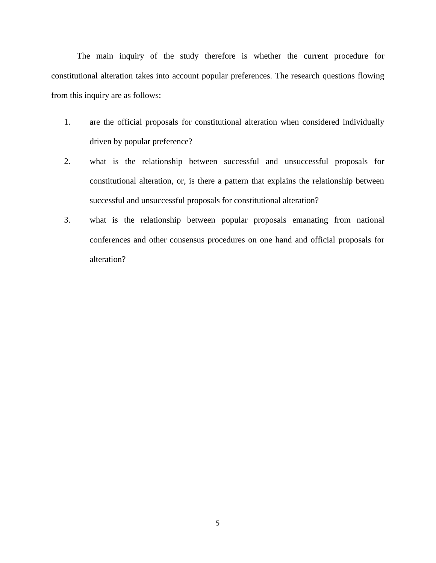The main inquiry of the study therefore is whether the current procedure for constitutional alteration takes into account popular preferences. The research questions flowing from this inquiry are as follows:

- 1. are the official proposals for constitutional alteration when considered individually driven by popular preference?
- 2. what is the relationship between successful and unsuccessful proposals for constitutional alteration, or, is there a pattern that explains the relationship between successful and unsuccessful proposals for constitutional alteration?
- 3. what is the relationship between popular proposals emanating from national conferences and other consensus procedures on one hand and official proposals for alteration?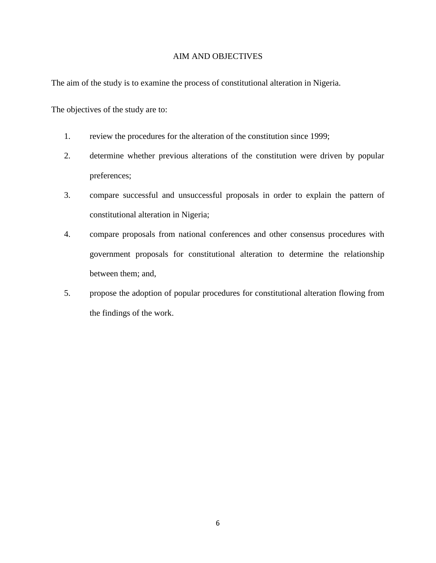### AIM AND OBJECTIVES

The aim of the study is to examine the process of constitutional alteration in Nigeria.

The objectives of the study are to:

- 1. review the procedures for the alteration of the constitution since 1999;
- 2. determine whether previous alterations of the constitution were driven by popular preferences;
- 3. compare successful and unsuccessful proposals in order to explain the pattern of constitutional alteration in Nigeria;
- 4. compare proposals from national conferences and other consensus procedures with government proposals for constitutional alteration to determine the relationship between them; and,
- 5. propose the adoption of popular procedures for constitutional alteration flowing from the findings of the work.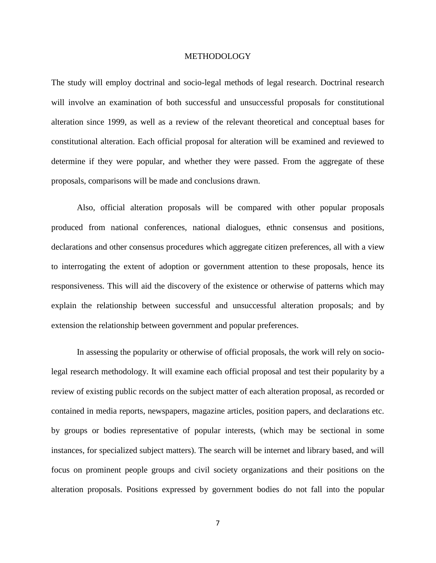#### METHODOLOGY

The study will employ doctrinal and socio-legal methods of legal research. Doctrinal research will involve an examination of both successful and unsuccessful proposals for constitutional alteration since 1999, as well as a review of the relevant theoretical and conceptual bases for constitutional alteration. Each official proposal for alteration will be examined and reviewed to determine if they were popular, and whether they were passed. From the aggregate of these proposals, comparisons will be made and conclusions drawn.

Also, official alteration proposals will be compared with other popular proposals produced from national conferences, national dialogues, ethnic consensus and positions, declarations and other consensus procedures which aggregate citizen preferences, all with a view to interrogating the extent of adoption or government attention to these proposals, hence its responsiveness. This will aid the discovery of the existence or otherwise of patterns which may explain the relationship between successful and unsuccessful alteration proposals; and by extension the relationship between government and popular preferences.

In assessing the popularity or otherwise of official proposals, the work will rely on sociolegal research methodology. It will examine each official proposal and test their popularity by a review of existing public records on the subject matter of each alteration proposal, as recorded or contained in media reports, newspapers, magazine articles, position papers, and declarations etc. by groups or bodies representative of popular interests, (which may be sectional in some instances, for specialized subject matters). The search will be internet and library based, and will focus on prominent people groups and civil society organizations and their positions on the alteration proposals. Positions expressed by government bodies do not fall into the popular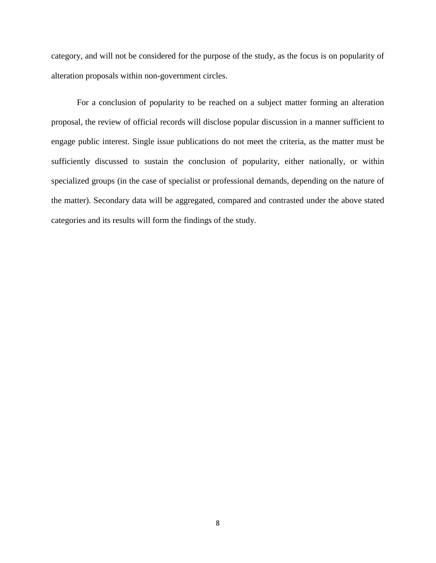category, and will not be considered for the purpose of the study, as the focus is on popularity of alteration proposals within non-government circles.

For a conclusion of popularity to be reached on a subject matter forming an alteration proposal, the review of official records will disclose popular discussion in a manner sufficient to engage public interest. Single issue publications do not meet the criteria, as the matter must be sufficiently discussed to sustain the conclusion of popularity, either nationally, or within specialized groups (in the case of specialist or professional demands, depending on the nature of the matter). Secondary data will be aggregated, compared and contrasted under the above stated categories and its results will form the findings of the study.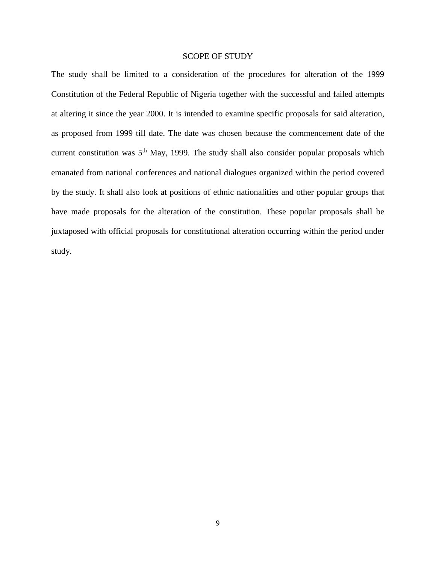#### SCOPE OF STUDY

The study shall be limited to a consideration of the procedures for alteration of the 1999 Constitution of the Federal Republic of Nigeria together with the successful and failed attempts at altering it since the year 2000. It is intended to examine specific proposals for said alteration, as proposed from 1999 till date. The date was chosen because the commencement date of the current constitution was  $5<sup>th</sup>$  May, 1999. The study shall also consider popular proposals which emanated from national conferences and national dialogues organized within the period covered by the study. It shall also look at positions of ethnic nationalities and other popular groups that have made proposals for the alteration of the constitution. These popular proposals shall be juxtaposed with official proposals for constitutional alteration occurring within the period under study.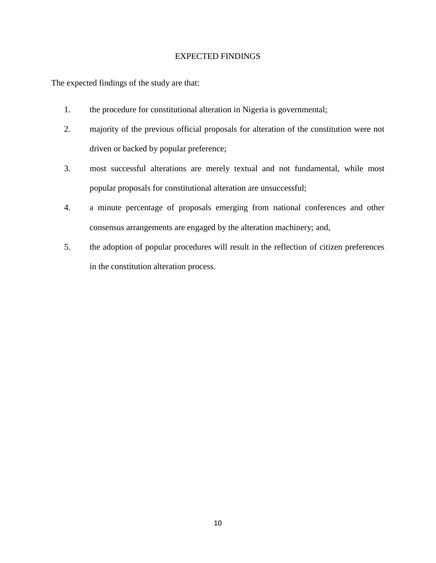### EXPECTED FINDINGS

The expected findings of the study are that:

- 1. the procedure for constitutional alteration in Nigeria is governmental;
- 2. majority of the previous official proposals for alteration of the constitution were not driven or backed by popular preference;
- 3. most successful alterations are merely textual and not fundamental, while most popular proposals for constitutional alteration are unsuccessful;
- 4. a minute percentage of proposals emerging from national conferences and other consensus arrangements are engaged by the alteration machinery; and,
- 5. the adoption of popular procedures will result in the reflection of citizen preferences in the constitution alteration process.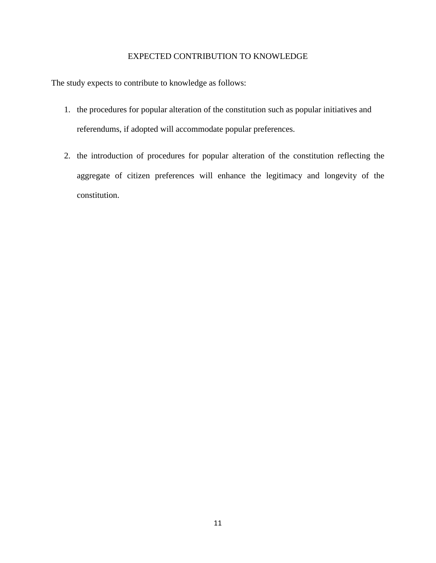### EXPECTED CONTRIBUTION TO KNOWLEDGE

The study expects to contribute to knowledge as follows:

- 1. the procedures for popular alteration of the constitution such as popular initiatives and referendums, if adopted will accommodate popular preferences.
- 2. the introduction of procedures for popular alteration of the constitution reflecting the aggregate of citizen preferences will enhance the legitimacy and longevity of the constitution.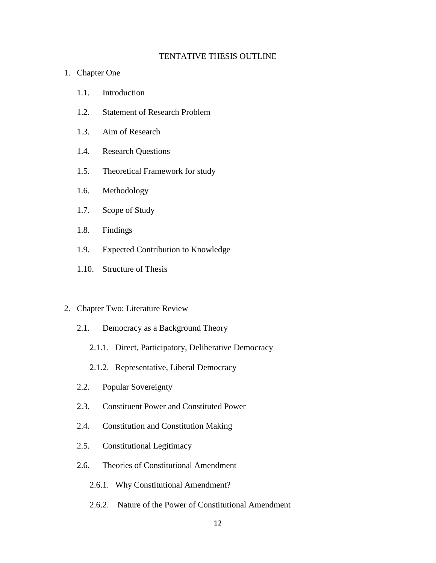### TENTATIVE THESIS OUTLINE

- 1. Chapter One
	- 1.1. Introduction
	- 1.2. Statement of Research Problem
	- 1.3. Aim of Research
	- 1.4. Research Questions
	- 1.5. Theoretical Framework for study
	- 1.6. Methodology
	- 1.7. Scope of Study
	- 1.8. Findings
	- 1.9. Expected Contribution to Knowledge
	- 1.10. Structure of Thesis

#### 2. Chapter Two: Literature Review

- 2.1. Democracy as a Background Theory
	- 2.1.1. Direct, Participatory, Deliberative Democracy
	- 2.1.2. Representative, Liberal Democracy
- 2.2. Popular Sovereignty
- 2.3. Constituent Power and Constituted Power
- 2.4. Constitution and Constitution Making
- 2.5. Constitutional Legitimacy
- 2.6. Theories of Constitutional Amendment
	- 2.6.1. Why Constitutional Amendment?
	- 2.6.2. Nature of the Power of Constitutional Amendment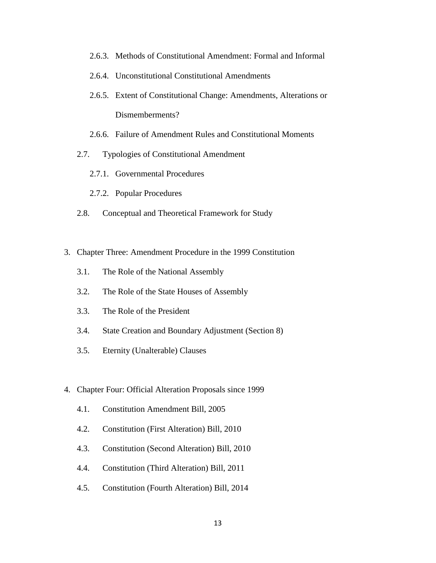- 2.6.3. Methods of Constitutional Amendment: Formal and Informal
- 2.6.4. Unconstitutional Constitutional Amendments
- 2.6.5. Extent of Constitutional Change: Amendments, Alterations or Dismemberments?
- 2.6.6. Failure of Amendment Rules and Constitutional Moments
- 2.7. Typologies of Constitutional Amendment
	- 2.7.1. Governmental Procedures
	- 2.7.2. Popular Procedures
- 2.8. Conceptual and Theoretical Framework for Study
- 3. Chapter Three: Amendment Procedure in the 1999 Constitution
	- 3.1. The Role of the National Assembly
	- 3.2. The Role of the State Houses of Assembly
	- 3.3. The Role of the President
	- 3.4. State Creation and Boundary Adjustment (Section 8)
	- 3.5. Eternity (Unalterable) Clauses
- 4. Chapter Four: Official Alteration Proposals since 1999
	- 4.1. Constitution Amendment Bill, 2005
	- 4.2. Constitution (First Alteration) Bill, 2010
	- 4.3. Constitution (Second Alteration) Bill, 2010
	- 4.4. Constitution (Third Alteration) Bill, 2011
	- 4.5. Constitution (Fourth Alteration) Bill, 2014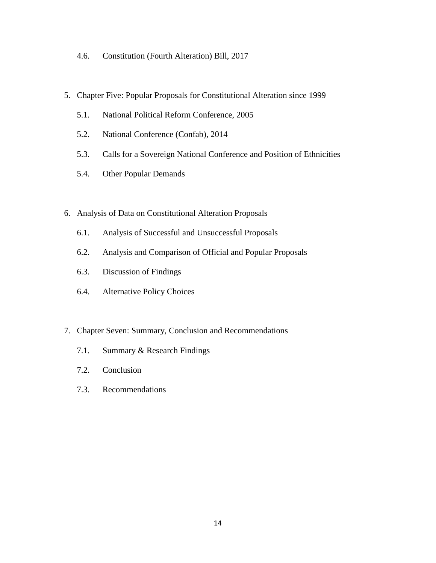- 4.6. Constitution (Fourth Alteration) Bill, 2017
- 5. Chapter Five: Popular Proposals for Constitutional Alteration since 1999
	- 5.1. National Political Reform Conference, 2005
	- 5.2. National Conference (Confab), 2014
	- 5.3. Calls for a Sovereign National Conference and Position of Ethnicities
	- 5.4. Other Popular Demands
- 6. Analysis of Data on Constitutional Alteration Proposals
	- 6.1. Analysis of Successful and Unsuccessful Proposals
	- 6.2. Analysis and Comparison of Official and Popular Proposals
	- 6.3. Discussion of Findings
	- 6.4. Alternative Policy Choices
- 7. Chapter Seven: Summary, Conclusion and Recommendations
	- 7.1. Summary & Research Findings
	- 7.2. Conclusion
	- 7.3. Recommendations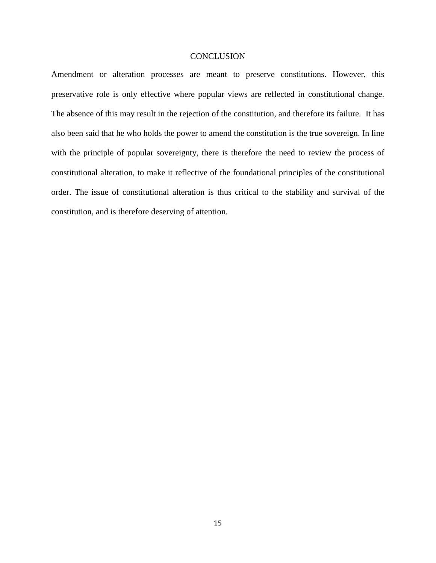#### **CONCLUSION**

Amendment or alteration processes are meant to preserve constitutions. However, this preservative role is only effective where popular views are reflected in constitutional change. The absence of this may result in the rejection of the constitution, and therefore its failure. It has also been said that he who holds the power to amend the constitution is the true sovereign. In line with the principle of popular sovereignty, there is therefore the need to review the process of constitutional alteration, to make it reflective of the foundational principles of the constitutional order. The issue of constitutional alteration is thus critical to the stability and survival of the constitution, and is therefore deserving of attention.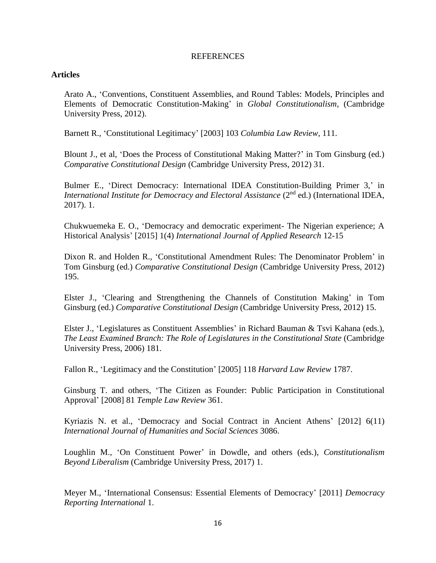#### **REFERENCES**

#### **Articles**

Arato A., 'Conventions, Constituent Assemblies, and Round Tables: Models, Principles and Elements of Democratic Constitution-Making' in *Global Constitutionalism*, (Cambridge University Press, 2012).

Barnett R., 'Constitutional Legitimacy' [2003] 103 *Columbia Law Review*, 111.

Blount J., et al, 'Does the Process of Constitutional Making Matter?' in Tom Ginsburg (ed.) *Comparative Constitutional Design* (Cambridge University Press, 2012) 31.

Bulmer E., 'Direct Democracy: International IDEA Constitution-Building Primer 3,' in *International Institute for Democracy and Electoral Assistance* (2<sup>nd</sup> ed.) (International IDEA, 2017). 1.

Chukwuemeka E. O., 'Democracy and democratic experiment- The Nigerian experience; A Historical Analysis' [2015] 1(4) *International Journal of Applied Research* 12-15

Dixon R. and Holden R., 'Constitutional Amendment Rules: The Denominator Problem' in Tom Ginsburg (ed.) *Comparative Constitutional Design* (Cambridge University Press, 2012) 195.

Elster J., 'Clearing and Strengthening the Channels of Constitution Making' in Tom Ginsburg (ed.) *Comparative Constitutional Design* (Cambridge University Press, 2012) 15.

Elster J., 'Legislatures as Constituent Assemblies' in Richard Bauman & Tsvi Kahana (eds.), *The Least Examined Branch: The Role of Legislatures in the Constitutional State* (Cambridge University Press, 2006) 181.

Fallon R., 'Legitimacy and the Constitution' [2005] 118 *Harvard Law Review* 1787.

Ginsburg T. and others, 'The Citizen as Founder: Public Participation in Constitutional Approval' [2008] 81 *Temple Law Review* 361.

Kyriazis N. et al., 'Democracy and Social Contract in Ancient Athens' [2012] 6(11) *International Journal of Humanities and Social Sciences* 3086.

Loughlin M., 'On Constituent Power' in Dowdle, and others (eds.), *Constitutionalism Beyond Liberalism* (Cambridge University Press, 2017) 1.

Meyer M., 'International Consensus: Essential Elements of Democracy' [2011] *Democracy Reporting International* 1.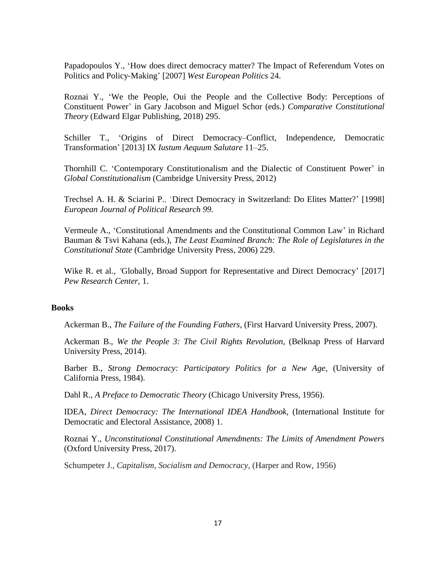Papadopoulos Y., 'How does direct democracy matter? The Impact of Referendum Votes on Politics and Policy‐Making' [2007] *West European Politics* 24.

Roznai Y., 'We the People, Oui the People and the Collective Body: Perceptions of Constituent Power' in Gary Jacobson and Miguel Schor (eds.) *Comparative Constitutional Theory* (Edward Elgar Publishing, 2018) 295.

Schiller T., 'Origins of Direct Democracy–Conflict, Independence, Democratic Transformation' [2013] IX *Iustum Aequum Salutare* 11–25.

Thornhill C. 'Contemporary Constitutionalism and the Dialectic of Constituent Power' in *Global Constitutionalism* (Cambridge University Press, 2012)

Trechsel A. H. & Sciarini P., 'Direct Democracy in Switzerland: Do Elites Matter?' [1998] *European Journal of Political Research 99.*

Vermeule A., 'Constitutional Amendments and the Constitutional Common Law' in Richard Bauman & Tsvi Kahana (eds.), *The Least Examined Branch: The Role of Legislatures in the Constitutional State* (Cambridge University Press, 2006) 229.

Wike R. et al*., '*Globally, Broad Support for Representative and Direct Democracy' [2017] *Pew Research Center,* 1.

### **Books**

Ackerman B., *The Failure of the Founding Fathers*, (First Harvard University Press, 2007).

Ackerman B., *We the People 3: The Civil Rights Revolution*, (Belknap Press of Harvard University Press, 2014).

Barber B., *Strong Democracy: Participatory Politics for a New Age*, (University of California Press, 1984).

Dahl R., *A Preface to Democratic Theory* (Chicago University Press, 1956).

IDEA, *Direct Democracy: The International IDEA Handbook*, (International Institute for Democratic and Electoral Assistance, 2008) 1.

Roznai Y., *Unconstitutional Constitutional Amendments: The Limits of Amendment Powers* (Oxford University Press, 2017).

Schumpeter J., *Capitalism, Socialism and Democracy*, (Harper and Row, 1956)